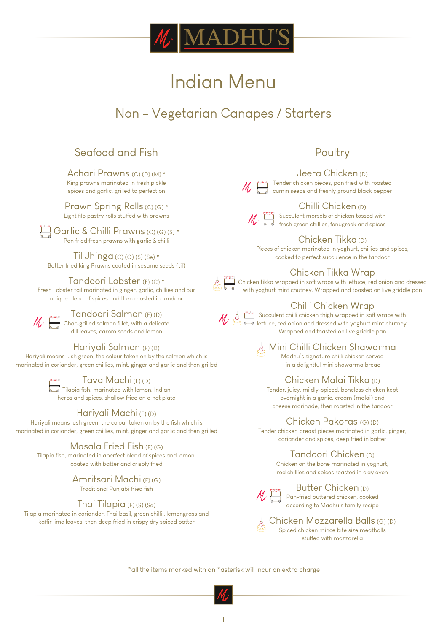

# Non - Vegetarian Canapes / Starters

# Seafood and Fish

Achari Prawns (C) (D) (M) \* King prawns marinated in fresh pickle spices and garlic, grilled to perfection

Prawn Spring Rolls (C) (G) \* Light filo pastry rolls stuffed with prawns

Garlic & Chilli Prawns (C) (G) (S) \* Pan fried fresh prawns with garlic & chilli

Til Jhinga  $(C)$   $(G)$   $(S)$   $(S<sub>e</sub>)$  \* Batter fried king Prawns coated in sesame seeds (til)

#### Tandoori Lobster (F) (C) \*

Fresh Lobster tail marinated in ginger, garlic, chillies and our unique blend of spices and then roasted in tandoor



Tandoori Salmon (F) (D) Char-grilled salmon fillet, with a delicate dill leaves, carom seeds and lemon

#### Hariyali Salmon (F) (D)

Hariyali means lush green, the colour taken on by the salmon which is marinated in coriander, green chillies, mint, ginger and garlic and then grilled

Tava Machi (F) (D)

Tilapia fish, marinated with lemon, Indian herbs and spices, shallow fried on a hot plate

# Hariyali Machi (F) (D)

Hariyali means lush green, the colour taken on by the fish which is marinated in coriander, green chillies, mint, ginger and garlic and then grilled

#### Masala Fried Fish (F) (G)

Tilapia fish, marinated in aperfect blend of spices and lemon, coated with batter and crisply fried

# Amritsari Machi (F) (G)

Traditional Punjabi fried fish

#### Thai Tilapia (F) (S) (Se)

Tilapia marinated in coriander, Thai basil, green chilli , lemongrass and kaffir lime leaves, then deep fried in crispy dry spiced batter

# Poultry

#### Jeera Chicken (D)

 $\mathbb T$  Tender chicken pieces, pan fried with roasted cumin seeds and freshly ground black pepper



Chilli Chicken (D) Succulent morsels of chicken tossed with fresh green chillies, fenugreek and spices

Chicken Tikka (D)

Pieces of chicken marinated in yoghurt, chillies and spices, cooked to perfect succulence in the tandoor

# Chicken Tikka Wrap

Chicken tikka wrapped in soft wraps with lettuce, red onion and dressed with yoghurt mint chutney. Wrapped and toasted on live griddle pan

# Chilli Chicken Wrap



Succulent chilli chicken thigh wrapped in soft wraps with lettuce, red onion and dressed with yoghurt mint chutney. Wrapped and toasted on live griddle pan

Mini Chilli Chicken Shawarma Madhu's signature chilli chicken served in a delightful mini shawarma bread

# Chicken Malai Tikka (D)

Tender, juicy, mildly-spiced, boneless chicken kept overnight in a garlic, cream (malai) and cheese marinade, then roasted in the tandoor

#### Chicken Pakoras (G) (D)

Tender chicken breast pieces marinated in garlic, ginger, coriander and spices, deep fried in batter

Tandoori Chicken (D)

Chicken on the bone marinated in yoghurt, red chillies and spices roasted in clay oven



# Butter Chicken (D)

Pan-fried buttered chicken, cooked according to Madhu's family recipe

Chicken Mozzarella Balls (G) (D)  $\mathcal{A}$ Spiced chicken mince bite size meatballs stuffed with mozzarella

\*all the items marked with an \*asterisk will incur an extra charge

1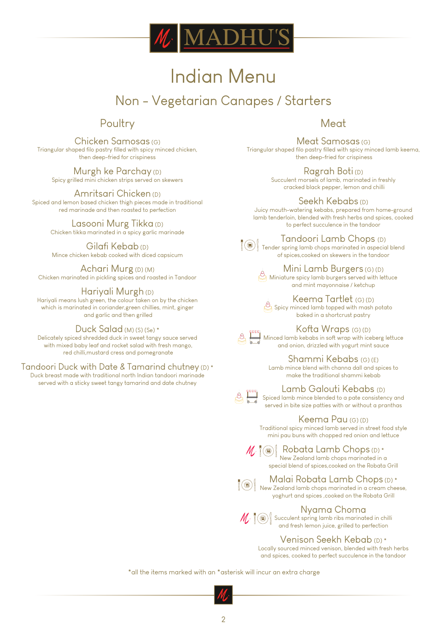

# Non - Vegetarian Canapes / Starters

# Poultry

Chicken Samosas (G) Triangular shaped filo pastry filled with spicy minced chicken, then deep-fried for crispiness

**Murgh ke Parchay (D)** Spicy grilled mini chicken strips served on skewers

Amritsari Chicken (D) Spiced and lemon based chicken thigh pieces made in traditional red marinade and then roasted to perfection

# Lasooni Murg Tikka (D)

Chicken tikka marinated in a spicy garlic marinade

Gilafi Kebab (D) Mince chicken kebab cooked with diced capsicum

Achari Murg (D) (M) Chicken marinated in pickling spices and roasted in Tandoor

# Hariyali Murgh (D)

Hariyali means lush green, the colour taken on by the chicken which is marinated in coriander,green chillies, mint, ginger and garlic and then grilled

#### Duck Salad (M) (S) (Se) \*

Delicately spiced shredded duck in sweet tangy sauce served with mixed baby leaf and rocket salad with fresh mango, red chilli,mustard cress and pomegranate

#### Tandoori Duck with Date & Tamarind chutney (D) \*

Duck breast made with traditional north Indian tandoori marinade served with a sticky sweet tangy tamarind and date chutney

# Meat

Meat Samosas (G) Triangular shaped filo pastry filled with spicy minced lamb keema, then deep-fried for crispiness

> Ragrah Boti (D) Succulent morsels of lamb, marinated in freshly cracked black pepper, lemon and chilli

#### Seekh Kebabs (D)

Juicy mouth-watering kebabs, prepared from home-ground lamb tenderloin, blended with fresh herbs and spices, cooked to perfect succulence in the tandoor

Tandoori Lamb Chops (D)

Tender spring lamb chops marinated in aspecial blend of spices,cooked on skewers in the tandoor

> Mini Lamb Burgers (G) (D) Miniature spicy lamb burgers served with lettuce and mint mayonnaise / ketchup

Keema Tartlet (G) (D)  $\mathcal{B}$  Spicy minced lamb topped with mash potato baked in a shortcrust pastry



Minced lamb kebabs in soft wrap with iceberg lettuce and onion, drizzled with yogurt mint sauce

> Shammi Kebabs (G) (E) Lamb mince blend with channa dall and spices to make the traditional shammi kebab

Kofta Wraps (G) (D)

Lamb Galouti Kebabs (D)

Spiced lamb mince blended to a pate consistency and served in bite size patties with or without a pranthas

#### Keema Pau (G) (D)

Traditional spicy minced lamb served in street food style mini pau buns with chopped red onion and lettuce

Robata Lamb Chops (D) \* New Zealand lamb chops marinated in a special blend of spices,cooked on the Robata Grill

Malai Robata Lamb Chops (D) \*

 $\|\circledast\|$  New Zealand lamb chops marinated in a cream cheese, yoghurt and spices ,cooked on the Robata Grill

# Nyama Choma

Succulent spring lamb ribs marinated in chilli and fresh lemon juice, grilled to perfection

#### Venison Seekh Kebab (D) \*

Locally sourced minced venison, blended with fresh herbs and spices, cooked to perfect succulence in the tandoor

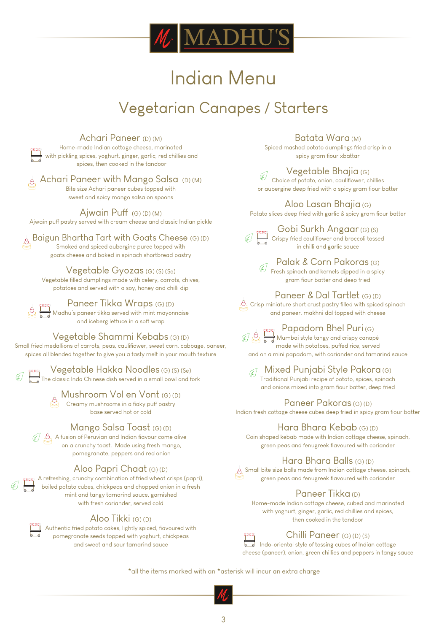

# Indian Menu Vegetarian Canapes / Starters

Achari Paneer (D) (M) Home-made Indian cottage cheese, marinated with pickling spices, yoghurt, ginger, garlic, red chillies and spices, then cooked in the tandoor

 $\frac{1}{\sqrt{2}}$ , Achari Paneer with Mango Salsa (D) (M) Bite size Achari paneer cubes topped with sweet and spicy mango salsa on spoons

Ajwain Puff  $(G)(D)(M)$ Ajwain puff pastry served with cream cheese and classic Indian pickle

Baigun Bhartha Tart with Goats Cheese (G) (D) Smoked and spiced aubergine puree topped with goats cheese and baked in spinach shortbread pastry

Vegetable Gyozas (G) (S) (Se) Vegetable filled dumplings made with celery, carrots, chives, potatoes and served with a soy, honey and chilli dip

Paneer Tikka Wraps (G) (D) Madhu's paneer tikka served with mint mayonnaise

and iceberg lettuce in a soft wrap

Vegetable Shammi Kebabs (G) (D)

Small fried medallions of carrots, peas, caulifiower, sweet corn, cabbage, paneer, spices all blended together to give you a tasty melt in your mouth texture

> Vegetable Hakka Noodles (G) (S) (Se) The classic Indo Chinese dish served in a small bowl and fork

> > Mushroom Vol en Vont (G) (D)

Creamy mushrooms in a fiaky puff pastry base served hot or cold

# Mango Salsa Toast (G) (D)

 $\mathcal{A}$   $\beta$  A fusion of Peruvian and Indian flavour come alive on a crunchy toast. Made using fresh mango, pomegranate, peppers and red onion

# Aloo Papri Chaat (G) (D)

A refreshing, crunchy combination of fried wheat crisps (papri), boiled potato cubes, chickpeas and chopped onion in a fresh mint and tangy tamarind sauce, garnished with fresh coriander, served cold

# Aloo Tikki (G) (D)

Authentic fried potato cakes, lightly spiced, fiavoured with pomegranate seeds topped with yoghurt, chickpeas and sweet and sour tamarind sauce

Batata Wara (M)

Spiced mashed potato dumplings fried crisp in a spicy gram fiour xbattar

Vegetable Bhajia (G)

Choice of potato, onion, caulifiower, chillies or aubergine deep fried with a spicy gram fiour batter

Aloo Lasan Bhajia (G) Potato slices deep fried with garlic & spicy gram flour batter



Gobi Surkh Angaar (G) (S) Crispy fried caulifiower and broccoli tossed in chilli and garlic sauce

Palak & Corn Pakoras (G) Fresh spinach and kernels dipped in a spicy gram fiour batter and deep fried

Paneer & Dal Tartlet (G) (D)  $\bigotimes$  Crisp miniature short crust pastry filled with spiced spinach

and paneer, makhni dal topped with cheese



Papadom Bhel Puri (G)

Mumbai style tangy and crispy canapé made with potatoes, puffed rice, served and on a mini papadom, with coriander and tamarind sauce

Mixed Punjabi Style Pakora (G)  $\mathscr{G}$ 

Traditional Punjabi recipe of potato, spices, spinach and onions mixed into gram fiour batter, deep fried

# Paneer Pakoras (G) (D)

Indian fresh cottage cheese cubes deep fried in spicy gram fiour batter

# Hara Bhara Kebab (G) (D)

Coin shaped kebab made with Indian cottage cheese, spinach, green peas and fenugreek fiavoured with coriander

# Hara Bhara Balls (G) (D)

 $\hat{\mathcal{B}}$  Small bite size balls made from Indian cottage cheese, spinach, green peas and fenugreek flavoured with coriander

# Paneer Tikka (D)

Home-made Indian cottage cheese, cubed and marinated with yoghurt, ginger, garlic, red chillies and spices, then cooked in the tandoor



Chilli Paneer (G) (D) (S)

Indo-oriental style of tossing cubes of Indian cottage cheese (paneer), onion, green chillies and peppers in tangy sauce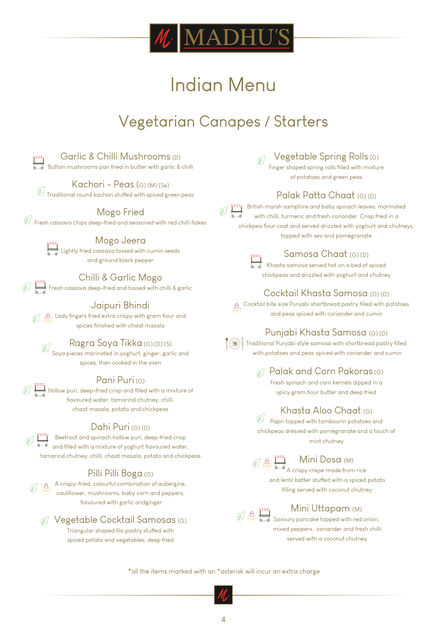

# Vegetarian Canapes / Starters



Garlic & Chilli Mushrooms (D) Button mushrooms pan fried in butter with garlic & chilli

Kachori - Peas (G) (M) (Se) Traditional round kachori stuffed with spiced green peas<br>Traditional round kachori stuffed with spiced green peas

### Mogo Fried

 $\mathscr G$  Fresh cassava chips deep-fried and seasoned with red chilli fiakes

Lightly fried cassava tossed with cumin seeds and ground black pepper

Mogo Jeera

# Chilli & Garlic Mogo

 $\bigcirc$  Fresh cassava deep-fried and tossed with chilli & garlic

# Jaipuri Bhindi

 $\begin{equation} \begin{array}{ll} \mathcal{L} & \mathcal{L} & \mathcal{L} & \mathcal{L} \ \mathcal{L} & \mathcal{L} & \mathcal{L} \end{array} \end{equation}$ spices finished with chaat masala

# Ragra Soya Tikka (G) (D) (S)

Soya pieces marinated in yoghurt, ginger, garlic and spices, then cooked in the oven

# Pani Puri (G)

Hollow puri, deep-fried crisp and filled with a mixture of fiavoured water, tamarind chutney, chilli chaat masala, potato and chickpeas

# Dahi Puri (G) (D)

Beetroot and spinach hollow puri, deep-fried crisp  $\overline{\overline{\phantom{a}}}$  and filled with a mixture of yoghurt fiavoured water, tamarind chutney, chilli, chaat masala, potato and chickpeas

# Pilli Pilli Boga (G)

 $\overline{\overset{\circ}{\mathcal{C}}}$  A crispy-fried, colourful combination of aubergine, cauliflower, mushrooms, baby corn and peppers, fiavoured with garlic andginger

Vegetable Cocktail Samosas (G) Triangular shaped filo pastry stuffed with spiced potato and vegetables, deep fried

# Vegetable Spring Rolls (G)

Finger shaped spring rolls filled with mixture of potatoes and green peas

# Palak Patta Chaat (G) (D)

British marsh samphire and baby spinach leaves, marinated with chilli, turmeric and fresh coriander. Crisp fried in a chickpea fiour coat and served drizzled with yoghurt and chutneys, topped with sev and pomegranate



### Samosa Chaat (G) (D)

Khasta samosa served hot on a bed of spiced chickpeas and drizzled with yoghurt and chutney

# Cocktail Khasta Samosa (G) (D)

 $\overline{\mathcal{A}}$  Cocktail bite size Punjabi shortbread pastry filled with potatoes and peas spiced with coriander and cumin

# Punjabi Khasta Samosa (G) (D)

 $\lceil \langle \textcircled{\textcircled{\textcirc}} \rangle \rceil$  Traditional Punjabi style samosa with shortbread pastry filled with potatoes and peas spiced with coriander and cumin

> $\mathcal{A}$  Palak and Corn Pakoras (G) Fresh spinach and corn kernels dipped in a

spicy gram flour butter and deep fried

# Khasta Aloo Chaat (G)

 $\mathscr{\mathscr{C}}$  Papri topped with tambourin potatoes and chickpeas dressed with pomegranate and a touch of mint chutney

# Mini Dosa (M)

A crispy crepe made from rice and lentil batter stuffed with a spiced potato filling served with coconut chutney

# Mini Uttapam (M)

Savoury pancake topped with red onion, mixed peppers, coriander and fresh chilli served with a coconut chutney

\*all the items marked with an \*asterisk will incur an extra charge

4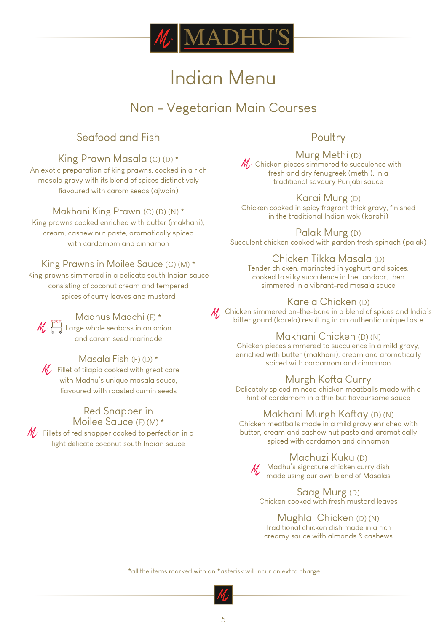

# Non - Vegetarian Main Courses

# Seafood and Fish

# King Prawn Masala (C) (D) \*

An exotic preparation of king prawns, cooked in a rich masala gravy with its blend of spices distinctively flavoured with carom seeds (ajwain)

# Makhani King Prawn (C) (D) (N) \*

King prawns cooked enriched with butter (makhani), cream, cashew nut paste, aromatically spiced with cardamom and cinnamon

# King Prawns in Moilee Sauce (C) (M) \*

King prawns simmered in a delicate south Indian sauce consisting of coconut cream and tempered spices of curry leaves and mustard



# Madhus Maachi (F) \*

 $M \leftarrow \frac{1}{2}$  Large whole seabass in an onion and carom seed marinade

# Masala Fish (F) (D) \*

 $\mathscr{M}_{\ell^*}$  Fillet of tilapia cooked with great care with Madhu's unique masala sauce, flavoured with roasted cumin seeds

#### Red Snapper in Moilee Sauce (F) (M) \*

 $M$ . Fillets of red snapper cooked to perfection in a light delicate coconut south Indian sauce

# **Poultry**

Murg Methi (D)  $M<sub>c</sub>$  Chicken pieces simmered to succulence with fresh and dry fenugreek (methi), in a traditional savoury Punjabi sauce

Karai Murg (D) Chicken cooked in spicy fragrant thick gravy, finished in the traditional Indian wok (karahi)

Palak Murg (D) Succulent chicken cooked with garden fresh spinach (palak)

# Chicken Tikka Masala (D)

Tender chicken, marinated in yoghurt and spices, cooked to silky succulence in the tandoor, then simmered in a vibrant-red masala sauce

# Karela Chicken (D)

 $M<sub>c</sub>$  Chicken simmered on-the-bone in a blend of spices and India's bitter gourd (karela) resulting in an authentic unique taste

# Makhani Chicken (D) (N)

Chicken pieces simmered to succulence in a mild gravy, enriched with butter (makhani), cream and aromatically spiced with cardamom and cinnamon

# Murgh Kofta Curry

Delicately spiced minced chicken meatballs made with a hint of cardamom in a thin but fiavoursome sauce

# Makhani Murgh Koftay (D) (N)

Chicken meatballs made in a mild gravy enriched with butter, cream and cashew nut paste and aromatically spiced with cardamon and cinnamon

# Machuzi Kuku (D) M Madhu's signature chicken curry dish

made using our own blend of Masalas

Saag Murg (D) Chicken cooked with fresh mustard leaves

# Mughlai Chicken (D) (N)

Traditional chicken dish made in a rich creamy sauce with almonds & cashews

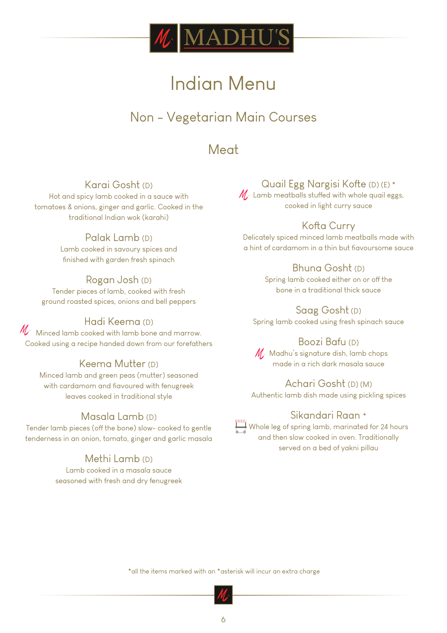

# Non - Vegetarian Main Courses

Meat

# Karai Gosht (D)

Hot and spicy lamb cooked in a sauce with tomatoes & onions, ginger and garlic. Cooked in the traditional Indian wok (karahi)

# Palak Lamb (D)

Lamb cooked in savoury spices and finished with garden fresh spinach

# Rogan Josh (D)

Tender pieces of lamb, cooked with fresh ground roasted spices, onions and bell peppers

# Hadi Keema (D)

 $\mathcal{M}^{\cdot}$  Minced lamb cooked with lamb bone and marrow. Cooked using a recipe handed down from our forefathers

# Keema Mutter (D)

Minced lamb and green peas (mutter) seasoned with cardamom and fiavoured with fenugreek leaves cooked in traditional style

# Masala Lamb (D)

Tender lamb pieces (off the bone) slow- cooked to gentle tenderness in an onion, tomato, ginger and garlic masala

# Methi Lamb (D)

Lamb cooked in a masala sauce seasoned with fresh and dry fenugreek

# Quail Egg Nargisi Kofte (D) (E) \*

 $M$  Lamb meatballs stuffed with whole quail eggs, cooked in light curry sauce

# Kofta Curry

Delicately spiced minced lamb meatballs made with a hint of cardamom in a thin but flavoursome sauce

# Bhuna Gosht (D)

Spring lamb cooked either on or off the bone in a traditional thick sauce

Saag Gosht (D) Spring lamb cooked using fresh spinach sauce

# Boozi Bafu (D)

 $M$ . Madhu's signature dish, lamb chops made in a rich dark masala sauce

# Achari Gosht (D) (M)

Authentic lamb dish made using pickling spices

# Sikandari Raan \*

 $\begin{array}{\} \begin{array}{\} \end{array}$  Whole leg of spring lamb, marinated for 24 hours and then slow cooked in oven. Traditionally served on a bed of yakni pillau

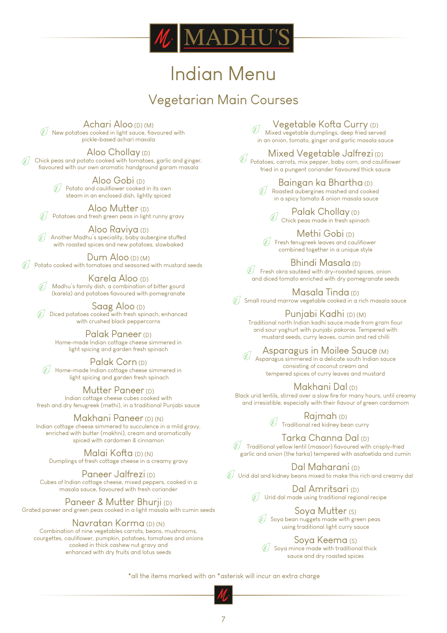

# Vegetarian Main Courses

Achari Aloo (D) (M)  $\hat{\mathcal{H}}$  New potatoes cooked in light sauce, flavoured with pickle-based achari masala

Aloo Chollay (D)

6F 1 Chick peas and potato cooked with tomatoes, garlic and ginger, fiavoured with our own aromatic handground garam masala

> Aloo Gobi (D)  $\mathcal{F}$  Potato and caulifiower cooked in its own steam in an enclosed dish, lightly spiced

Aloo Mutter (D) Potatoes and fresh green peas in light runny gravy

Aloo Raviya (D) 4 Another Madhu's speciality, baby aubergine stuffed with roasted spices and new potatoes, slowbaked

Dum Aloo (D) (M) Potato cooked with tomatoes and seasoned with mustard seeds

Karela Aloo (D) Madhu's family dish, a combination of bitter gourd (karela) and potatoes flavoured with pomegranate

Saag Aloo (D) Diced potatoes cooked with fresh spinach, enhanced with crushed black peppercorns

Palak Paneer (D) Home-made Indian cottage cheese simmered in light spicing and garden fresh spinach

Palak Corn (D)  $\operatorname{\widetilde{\mathbb{C}}}$  Home-made Indian cottage cheese simmered in light spicing and garden fresh spinach

Mutter Paneer (D) Indian cottage cheese cubes cooked with fresh and dry fenugreek (methi), in a traditional Punjabi sauce

Makhani Paneer (D) (N) Indian cottage cheese simmered to succulence in a mild gravy, enriched with butter (makhni), cream and aromatically spiced with cardomen & cinnamon

Malai Kofta (D) (N) Dumplings of fresh cottage cheese in a creamy gravy

Paneer Jalfrezi (D) Cubes of Indian cottage cheese, mixed peppers, cooked in a masala sauce, fiavoured with fresh coriander

Paneer & Mutter Bhurji (D) Grated paneer and green peas cooked in a light masala with cumin seeds

Navratan Korma (D) (N) Combination of nine vegetables carrots, beans, mushrooms, courgettes, caulifiower, pumpkin, potatoes, tomatoes and onions cooked in thick cashew nut gravy and enhanced with dry fruits and lotus seeds

Vegetable Kofta Curry (D) Mixed vegetable dumplings, deep fried served in an onion, tomato, ginger and garlic masala sauce

Mixed Vegetable Jalfrezi (D) Potatoes, carrots, mix pepper, baby corn, and cauliflower fried in a pungent coriander flavoured thick sauce

> Baingan ka Bhartha (D) Roasted aubergines mashed and cooked in a spicy tomato & onion masala sauce

Palak Chollay (D)  $\mathscr{G}$ Chick peas made in fresh spinach

Methi Gobi (D)  $\mathscr{F}$  Fresh fenugreek leaves and caulifiower combined together in a unique style

Bhindi Masala (D)  $C\overline{\mathscr{C}}$  Fresh okra sautéed with dry-roasted spices, onion and diced tomato enriched with dry pomegranate seeds

Masala Tinda (D)  $C_{\text{max}}$  Small round marrow vegetable cooked in a rich masala sauce

Punjabi Kadhi (D) (M)

Traditional north Indian kadhi sauce made from gram fiour and sour yoghurt with punjabi pakoras. Tempered with mustard seeds, curry leaves, cumin and red chilli

Asparagus in Moilee Sauce (M) Asparagus simmered in a delicate south Indian sauce consisting of coconut cream and tempered spices of curry leaves and mustard

Makhani Dal (D)

Black urid lentils, stirred over a slow fire for many hours, until creamy and irresistible, especially with their flavour of green cardamom

> Rajmah (D) Traditional red kidney bean curry

Tarka Channa Dal (D)  $\mathscr G$  Traditional yellow lentil (masoor) flavoured with crisply-fried

garlic and onion (the tarka) tempered with asafoetida and cumin

Dal Maharani (D)  $\mathcal G$  Urid dal and kidney beans mixed to make this rich and creamy dal

> Dal Amritsari (D)  $\mathscr{F}$  Urid dal made using traditional regional recipe

Soya Mutter (S)  $\mathscr{G}$  Soya bean nuggets made with green peas using traditional light curry sauce

Soya Keema (S)  $C \nsubseteq$  Soya mince made with traditional thick sauce and dry roasted spices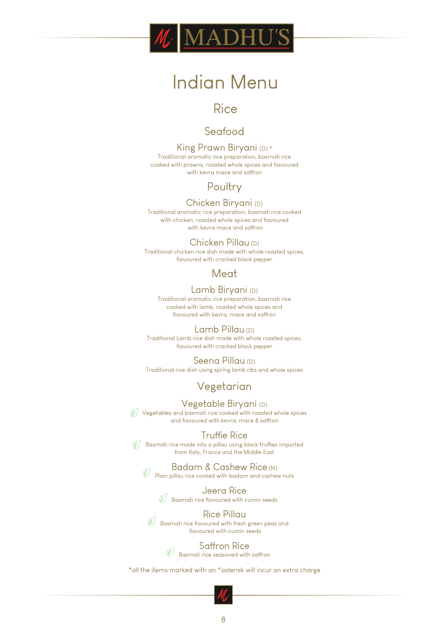

# **Rice**

# Seafood

King Prawn Biryani (D) \* Traditional aromatic rice preparation, basmati rice cooked with prawns, roasted whole spices and flavoured with kevra mace and saffron

# **Poultry**

### Chicken Biryani (D)

Traditional aromatic rice preparation, basmati rice cooked with chicken, roasted whole spices and flavoured with kevra mace and saffron

#### Chicken Pillau (D)

Traditional chicken rice dish made with whole roasted spices, fiavoured with cracked black pepper

# **Meat**

#### Lamb Biryani (D)

Traditional aromatic rice preparation, basmati rice cooked with lamb, roasted whole spices and fiavoured with kevra, mace and saffron

#### Lamb Pillau (D)

Traditional Lamb rice dish made with whole roasted spices, flavoured with cracked black pepper

#### Seena Pillau (D)

Traditional rice dish using spring lamb ribs and whole spices

# Vegetarian

Vegetable Biryani (D) Vegetables and basmati rice cooked with roasted whole spices and flavoured with kevra, mace & saffron

#### **Truffie Rice**

 $\mathscr{F}$  Basmati rice made into a pillau using black truffies imported from Italy, France and the Middle East

# Badam & Cashew Rice (N)

Plain pillau rice cooked with badam and cashew nuts

Jeera Rice  $\mathscr{\widehat{H}}$  Basmati rice flavoured with cumin seeds

Rice Pillau  $\mathscr{\mathscr{C}}$  Basmati rice fiavoured with fresh green peas and flavoured with cumin seeds

> Saffron Rice Basmati rice seasoned with saffron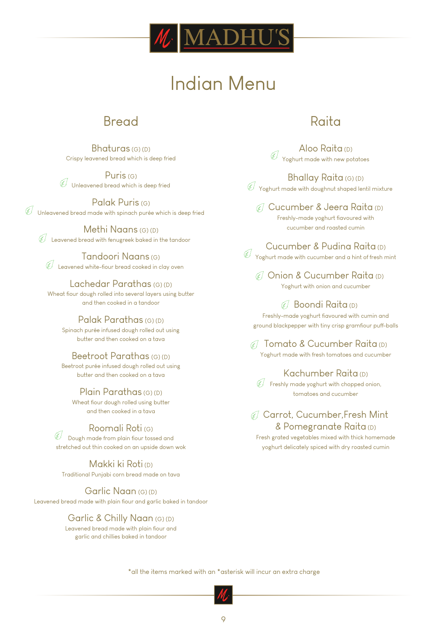

# Bread

Bhaturas (G) (D) Crispy leavened bread which is deep fried

Puris (G) Unleavened bread which is deep fried

Palak Puris (G)  $\overline{\mathscr{C}}$  Unleavened bread made with spinach purée which is deep fried

Methi Naans (G) (D)  $\widehat{\mathscr{G}}$  Leavened bread with fenugreek baked in the tandoor

Tandoori Naans (G)  $\mathscr{\widehat{H}}$  Leavened white-fiour bread cooked in clay oven

Lachedar Parathas (G) (D) Wheat flour dough rolled into several layers using butter and then cooked in a tandoor

### Palak Parathas (G) (D)

Spinach purée infused dough rolled out using butter and then cooked on a tava

#### Beetroot Parathas (G) (D)

Beetroot purée infused dough rolled out using butter and then cooked on a tava

#### Plain Parathas (G) (D)

Wheat flour dough rolled using butter and then cooked in a tava

# Roomali Roti (G)

 $\widetilde{\mathscr{C}}$  Dough made from plain fiour tossed and stretched out thin cooked on an upside down wok

Makki ki Roti (D) Traditional Punjabi corn bread made on tava

Garlic Naan (G) (D) Leavened bread made with plain flour and garlic baked in tandoor

# Garlic & Chilly Naan (G) (D)

Leavened bread made with plain flour and garlic and chillies baked in tandoor

# Raita

Aloo Raita (D) Yoghurt made with new potatoes

Bhallay Raita (G) (D)  $\mathscr{\mathscr{C}}$  Yoghurt made with doughnut shaped lentil mixture

G Cucumber & Jeera Raita (D) Freshly-made yoghurt flavoured with cucumber and roasted cumin

Cucumber & Pudina Raita (D)

Yoghurt made with cucumber and a hint of fresh mint

67 Onion & Cucumber Raita (D) Yoghurt with onion and cucumber

Boondi Raita (D)

Freshly-made yoghurt flavoured with cumin and ground blackpepper with tiny crisp gramfiour puff-balls

6 Tomato & Cucumber Raita (D) Yoghurt made with fresh tomatoes and cucumber

### Kachumber Raita (D)

 $F$  Freshly made yoghurt with chopped onion, tomatoes and cucumber

# Carrot, Cucumber,Fresh Mint & Pomegranate Raita (D)

Fresh grated vegetables mixed with thick homemade yoghurt delicately spiced with dry roasted cumin